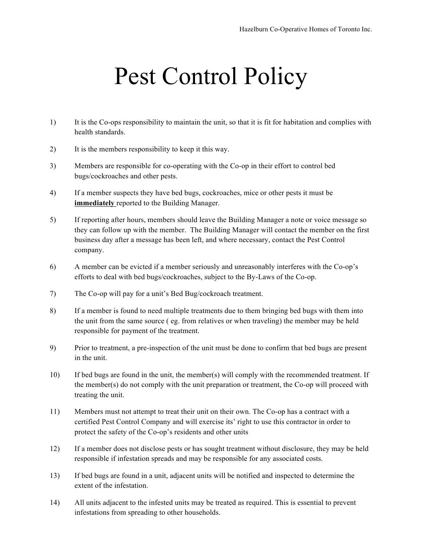## Pest Control Policy

- 1) It is the Co-ops responsibility to maintain the unit, so that it is fit for habitation and complies with health standards.
- 2) It is the members responsibility to keep it this way.
- 3) Members are responsible for co-operating with the Co-op in their effort to control bed bugs/cockroaches and other pests.
- 4) If a member suspects they have bed bugs, cockroaches, mice or other pests it must be **immediately** reported to the Building Manager.
- 5) If reporting after hours, members should leave the Building Manager a note or voice message so they can follow up with the member. The Building Manager will contact the member on the first business day after a message has been left, and where necessary, contact the Pest Control company.
- 6) A member can be evicted if a member seriously and unreasonably interferes with the Co-op's efforts to deal with bed bugs/cockroaches, subject to the By-Laws of the Co-op.
- 7) The Co-op will pay for a unit's Bed Bug/cockroach treatment.
- 8) If a member is found to need multiple treatments due to them bringing bed bugs with them into the unit from the same source ( eg. from relatives or when traveling) the member may be held responsible for payment of the treatment.
- 9) Prior to treatment, a pre-inspection of the unit must be done to confirm that bed bugs are present in the unit.
- 10) If bed bugs are found in the unit, the member(s) will comply with the recommended treatment. If the member(s) do not comply with the unit preparation or treatment, the Co-op will proceed with treating the unit.
- 11) Members must not attempt to treat their unit on their own. The Co-op has a contract with a certified Pest Control Company and will exercise its' right to use this contractor in order to protect the safety of the Co-op's residents and other units
- 12) If a member does not disclose pests or has sought treatment without disclosure, they may be held responsible if infestation spreads and may be responsible for any associated costs.
- 13) If bed bugs are found in a unit, adjacent units will be notified and inspected to determine the extent of the infestation.
- 14) All units adjacent to the infested units may be treated as required. This is essential to prevent infestations from spreading to other households.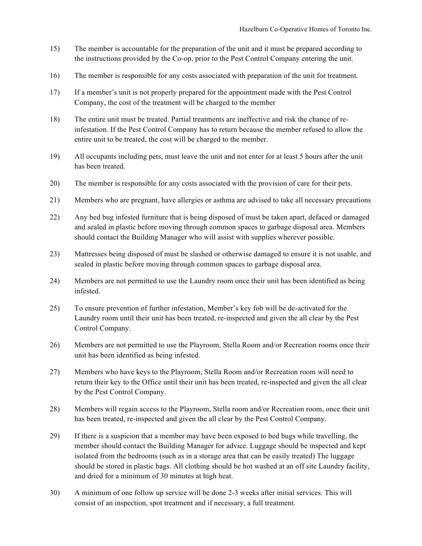- 15) The member is accountable for the preparation of the unit and it must be prepared according to the instructions provided by the Co-op, prior to the Pest Control Company entering the unit.
- 16) The member is responsible for any costs associated with preparation of the unit for treatment.
- 17) If a member's unit is not properly prepared for the appointment made with the Pest Control Company, the cost of the treatment will be charged to the member
- 18) The entire unit must be treated. Partial treatments are ineffective and risk the chance of reinfestation. If the Pest Control Company has to return because the member refused to allow the entire unit to be treated, the cost will be charged to the member.
- 19) All occupants including pets, must leave the unit and not enter for at least 5 hours after the unit has been treated.
- 20) The member is responsible for any costs associated with the provision of care for their pets.
- 21) Members who are pregnant, have allergies or asthma are advised to take all necessary precautions
- 22) Any bed bug infested furniture that is being disposed of must be taken apart, defaced or damaged and sealed in plastic before moving through common spaces to garbage disposal area. Members should contact the Building Manager who will assist with supplies wherever possible.
- 23) Mattresses being disposed of must be slashed or otherwise damaged to ensure it is not usable, and sealed in plastic before moving through common spaces to garbage disposal area.
- 24) Members are not permitted to use the Laundry room once their unit has been identified as being infested.
- 25) To ensure prevention of further infestation, Member's key fob will be de-activated for the Laundry room until their unit has been treated, re-inspected and given the all clear by the Pest Control Company.
- 26) Members are not permitted to use the Playroom, Stella Room and/or Recreation rooms once their unit has been identified as being infested.
- 27) Members who have keys to the Playroom, Stella Room and/or Recreation room will need to return their key to the Office until their unit has been treated, re-inspected and given the all clear by the Pest Control Company.
- 28) Members will regain access to the Playroom, Stella room and/or Recreation room, once their unit has been treated, re-inspected and given the all clear by the Pest Control Company.
- 29) If there is a suspicion that a member may have been exposed to bed bugs while travelling, the member should contact the Building Manager for advice. Luggage should be inspected and kept isolated from the bedrooms (such as in a storage area that can be easily treated) The luggage should be stored in plastic bags. All clothing should be hot washed at an off site Laundry facility, and dried for a minimum of 30 minutes at high heat.
- 30) A minimum of one follow up service will be done 2-3 weeks after initial services. This will consist of an inspection, spot treatment and if necessary, a full treatment.